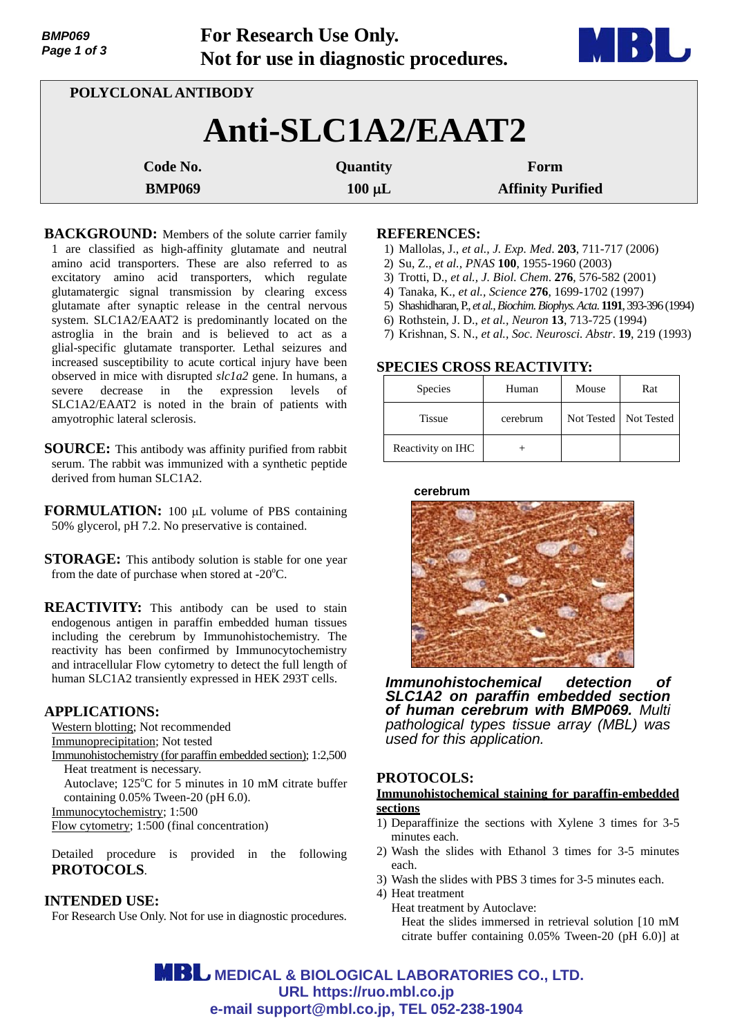| Page 1 of 3   |                     | Not for use in diagnostic procedures. | <b>DI UT</b>             |  |  |
|---------------|---------------------|---------------------------------------|--------------------------|--|--|
|               | POLYCLONAL ANTIBODY |                                       |                          |  |  |
|               |                     | Anti-SLC1A2/EAAT2                     |                          |  |  |
|               | Code No.            | Quantity                              | Form                     |  |  |
| <b>BMP069</b> |                     | $100 \mu L$                           | <b>Affinity Purified</b> |  |  |

**For Research Use Only.**

**BACKGROUND:** Members of the solute carrier family 1 are classified as high-affinity glutamate and neutral amino acid transporters. These are also referred to as excitatory amino acid transporters, which regulate glutamatergic signal transmission by clearing excess glutamate after synaptic release in the central nervous system. SLC1A2/EAAT2 is predominantly located on the astroglia in the brain and is believed to act as a glial-specific glutamate transporter. Lethal seizures and increased susceptibility to acute cortical injury have been observed in mice with disrupted *slc1a2* gene. In humans, a severe decrease in the expression levels of SLC1A2/EAAT2 is noted in the brain of patients with amyotrophic lateral sclerosis.

**SOURCE:** This antibody was affinity purified from rabbit serum. The rabbit was immunized with a synthetic peptide derived from human SLC1A2.

**FORMULATION:** 100 µL volume of PBS containing 50% glycerol, pH 7.2. No preservative is contained.

**STORAGE:** This antibody solution is stable for one year from the date of purchase when stored at - $20^{\circ}$ C.

**REACTIVITY:** This antibody can be used to stain endogenous antigen in paraffin embedded human tissues including the cerebrum by Immunohistochemistry. The reactivity has been confirmed by Immunocytochemistry and intracellular Flow cytometry to detect the full length of human SLC1A2 transiently expressed in HEK 293T cells.

## **APPLICATIONS:**

*BMP069* 

Western blotting; Not recommended Immunoprecipitation; Not tested

Immunohistochemistry (for paraffin embedded section); 1:2,500 Heat treatment is necessary.

Autoclave;  $125^{\circ}$ C for 5 minutes in 10 mM citrate buffer containing 0.05% Tween-20 (pH 6.0).

Immunocytochemistry; 1:500

Flow cytometry; 1:500 (final concentration)

Detailed procedure is provided in the following **PROTOCOLS**.

# **INTENDED USE:**

For Research Use Only. Not for use in diagnostic procedures.

### **REFERENCES:**

- 1) Mallolas, J., *et al., J. Exp. Med*. **203**, 711-717 (2006)
- 2) Su, Z., *et al., PNAS* **100**, 1955-1960 (2003)
- 3) Trotti, D., *et al., J. Biol. Chem*. **276**, 576-582 (2001)
- 4) Tanaka, K., *et al., Science* **276**, 1699-1702 (1997)
- 5) Shashidharan, P., *et al., Biochim. Biophys. Acta*. **1191**, 393-396 (1994)
- 6) Rothstein, J. D., *et al., Neuron* **13**, 713-725 (1994)
- 7) Krishnan, S. N., *et al., Soc. Neurosci. Abstr*. **19**, 219 (1993)

# **SPECIES CROSS REACTIVITY:**

| <b>Species</b>    | Human    | Mouse | Rat                     |
|-------------------|----------|-------|-------------------------|
| <b>Tissue</b>     | cerebrum |       | Not Tested   Not Tested |
| Reactivity on IHC |          |       |                         |

**cerebrum**



*Immunohistochemical detection of SLC1A2 on paraffin embedded section of human cerebrum with BMP069. Multi pathological types tissue array (MBL) was used for this application.*

# **PROTOCOLS:**

### **Immunohistochemical staining for paraffin-embedded sections**

- 1) Deparaffinize the sections with Xylene 3 times for 3-5 minutes each.
- 2) Wash the slides with Ethanol 3 times for 3-5 minutes each.
- 3) Wash the slides with PBS 3 times for 3-5 minutes each.
- 4) Heat treatment
	- Heat treatment by Autoclave: Heat the slides immersed in retrieval solution [10 mM citrate buffer containing 0.05% Tween-20 (pH 6.0)] at

**MBL** MEDICAL & BIOLOGICAL LABORATORIES CO., LTD. **URL https://ruo.mbl.co.jp e-mail support@mbl.co.jp, TEL 052-238-1904**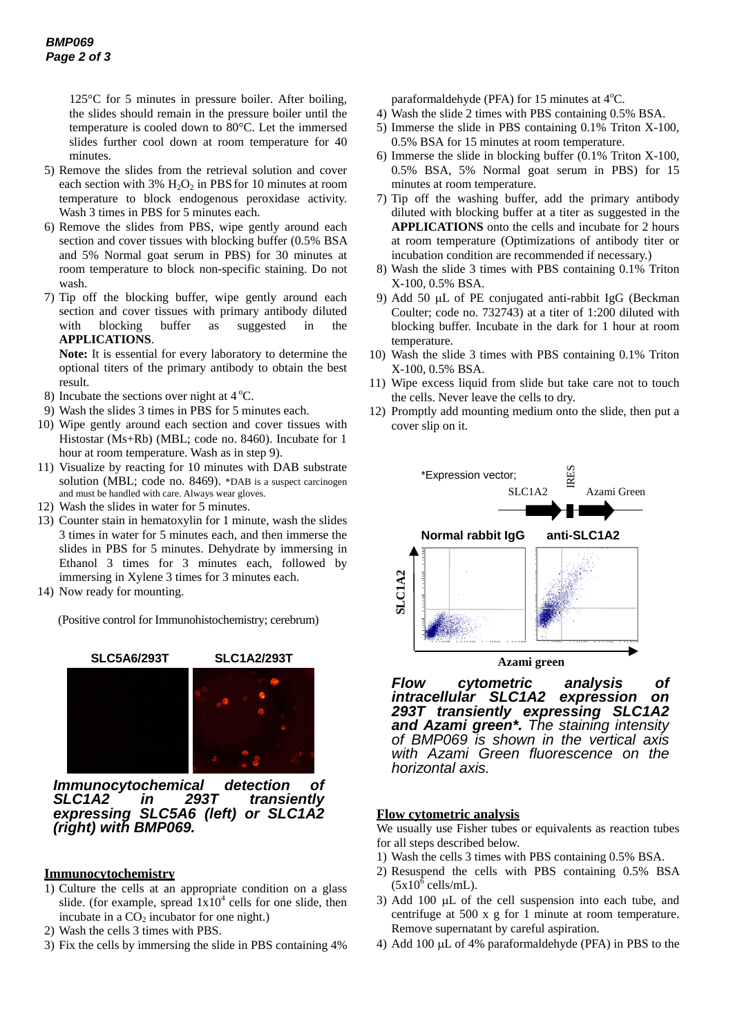125°C for 5 minutes in pressure boiler. After boiling, the slides should remain in the pressure boiler until the temperature is cooled down to 80°C. Let the immersed slides further cool down at room temperature for 40 minutes.

- 5) Remove the slides from the retrieval solution and cover each section with  $3\%$  H<sub>2</sub>O<sub>2</sub> in PBS for 10 minutes at room temperature to block endogenous peroxidase activity. Wash 3 times in PBS for 5 minutes each.
- 6) Remove the slides from PBS, wipe gently around each section and cover tissues with blocking buffer (0.5% BSA and 5% Normal goat serum in PBS) for 30 minutes at room temperature to block non-specific staining. Do not wash.
- 7) Tip off the blocking buffer, wipe gently around each section and cover tissues with primary antibody diluted with blocking buffer as suggested in the **APPLICATIONS**.

**Note:** It is essential for every laboratory to determine the optional titers of the primary antibody to obtain the best result.

- 8) Incubate the sections over night at  $4^{\circ}$ C.
- 9) Wash the slides 3 times in PBS for 5 minutes each.
- 10) Wipe gently around each section and cover tissues with Histostar (Ms+Rb) (MBL; code no. 8460). Incubate for 1 hour at room temperature. Wash as in step 9).
- 11) Visualize by reacting for 10 minutes with DAB substrate solution (MBL; code no. 8469). \*DAB is a suspect carcinogen and must be handled with care. Always wear gloves.
- 12) Wash the slides in water for 5 minutes.
- 13) Counter stain in hematoxylin for 1 minute, wash the slides 3 times in water for 5 minutes each, and then immerse the slides in PBS for 5 minutes. Dehydrate by immersing in Ethanol 3 times for 3 minutes each, followed by immersing in Xylene 3 times for 3 minutes each.
- 14) Now ready for mounting.

(Positive control for Immunohistochemistry; cerebrum)



*Immunocytochemical detection of SLC1A2 in 293T transiently expressing SLC5A6 (left) or SLC1A2 (right) with BMP069.*

## **Immunocytochemistry**

- 1) Culture the cells at an appropriate condition on a glass slide. (for example, spread  $1x10^4$  cells for one slide, then incubate in a  $CO<sub>2</sub>$  incubator for one night.)
- 2) Wash the cells 3 times with PBS.
- 3) Fix the cells by immersing the slide in PBS containing 4%

paraformaldehyde (PFA) for 15 minutes at  $4^{\circ}$ C.

- 4) Wash the slide 2 times with PBS containing 0.5% BSA.
- 5) Immerse the slide in PBS containing 0.1% Triton X-100, 0.5% BSA for 15 minutes at room temperature.
- 6) Immerse the slide in blocking buffer (0.1% Triton X-100, 0.5% BSA, 5% Normal goat serum in PBS) for 15 minutes at room temperature.
- 7) Tip off the washing buffer, add the primary antibody diluted with blocking buffer at a titer as suggested in the **APPLICATIONS** onto the cells and incubate for 2 hours at room temperature (Optimizations of antibody titer or incubation condition are recommended if necessary.)
- 8) Wash the slide 3 times with PBS containing 0.1% Triton X-100, 0.5% BSA.
- 9) Add 50  $\mu$ L of PE conjugated anti-rabbit IgG (Beckman Coulter; code no. 732743) at a titer of 1:200 diluted with blocking buffer. Incubate in the dark for 1 hour at room temperature.
- 10) Wash the slide 3 times with PBS containing 0.1% Triton X-100, 0.5% BSA.
- 11) Wipe excess liquid from slide but take care not to touch the cells. Never leave the cells to dry.
- 12) Promptly add mounting medium onto the slide, then put a cover slip on it.



**Azami green**

*Flow cytometric analysis of intracellular SLC1A2 expression on 293T transiently expressing SLC1A2 and Azami green\*. The staining intensity of BMP069 is shown in the vertical axis with Azami Green fluorescence on the horizontal axis.* 

#### **Flow cytometric analysis**

We usually use Fisher tubes or equivalents as reaction tubes for all steps described below.

- 1) Wash the cells 3 times with PBS containing 0.5% BSA.
- 2) Resuspend the cells with PBS containing 0.5% BSA  $(5x10^{\overline{6}}$  cells/mL).
- 3) Add 100  $\mu$ L of the cell suspension into each tube, and centrifuge at 500 x g for 1 minute at room temperature. Remove supernatant by careful aspiration.
- 4) Add 100  $\mu$ L of 4% paraformaldehyde (PFA) in PBS to the